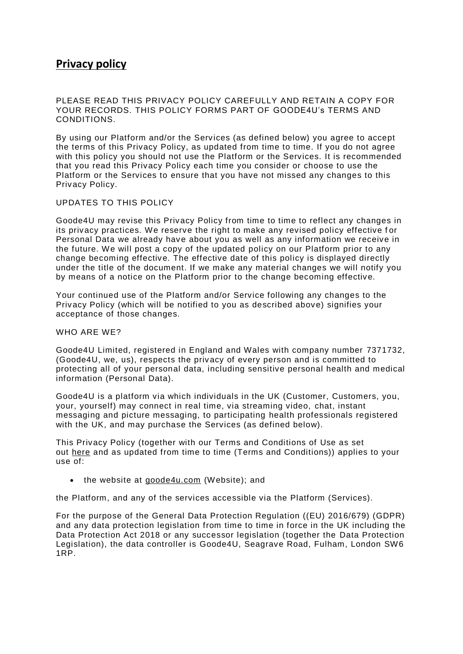# **Privacy policy**

PLEASE READ THIS PRIVACY POLICY CAREFULLY AND RETAIN A COPY FOR YOUR RECORDS. THIS POLICY FORMS PART OF GOODE4U's TERMS AND CONDITIONS.

By using our Platform and/or the Services (as defined below) you agree to accept the terms of this Privacy Policy, as updated from time to time. If you do not agree with this policy you should not use the Platform or the Services. It is recommended that you read this Privacy Policy each time you consider or choose to use the Platform or the Services to ensure that you have not missed any changes to this Privacy Policy.

## UPDATES TO THIS POLICY

Goode4U may revise this Privacy Policy from time to time to reflect any changes in its privacy practices. We reserve the right to make any revised policy effective f or Personal Data we already have about you as well as any information we receive in the future. We will post a copy of the updated policy on our Platform prior to any change becoming effective. The effective date of this policy is displayed directly under the title of the document. If we make any material changes we will notify you by means of a notice on the Platform prior to the change becoming effective.

Your continued use of the Platform and/or Service following any changes to the Privacy Policy (which will be notified to you as described above) signifies your acceptance of those changes.

## WHO ARE WE?

Goode4U Limited, registered in England and Wales with company number 7371732, (Goode4U, we, us), respects the privacy of every person and is committed to protecting all of your personal data, including sensitive personal health and medical information (Personal Data).

Goode4U is a platform via which individuals in the UK (Customer, Customers, you, your, yourself) may connect in real time, via streaming video, chat, instant messaging and picture messaging, to participating health professionals registered with the UK, and may purchase the Services (as defined below).

This Privacy Policy (together with our Terms and Conditions of Use as set out [here](https://www.pushdoctor.co.uk/terms) and as updated from time to time (Terms and Conditions)) applies to your use of:

• the website at [goode4u.com](https://www.pushdoctor.co.uk/) (Website); and

the Platform, and any of the services accessible via the Platform (Services).

For the purpose of the General Data Protection Regulation ((EU) 2016/679) (GDPR) and any data protection legislation from time to time in force in the UK including the Data Protection Act 2018 or any successor legislation (together the Data Protection Legislation), the data controller is Goode4U, Seagrave Road, Fulham, London SW6 1RP.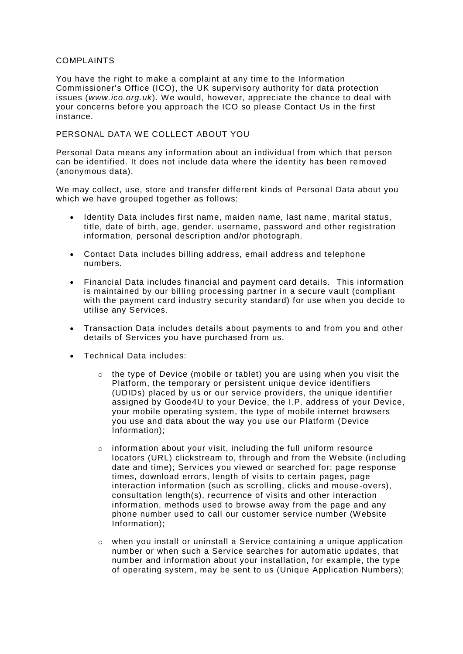## COMPLAINTS

You have the right to make a complaint at any time to the Information Commissioner's Office (ICO), the UK supervisory authority for data protection issues (*www.ico.org.uk*). We would, however, appreciate the chance to deal with your concerns before you approach the ICO so please Contact Us in the first instance.

# PERSONAL DATA WE COLLECT ABOUT YOU

Personal Data means any information about an individual from which that person can be identified. It does not include data where the identity has been re moved (anonymous data).

We may collect, use, store and transfer different kinds of Personal Data about you which we have grouped together as follows:

- Identity Data includes first name, maiden name, last name, marital status, title, date of birth, age, gender. username, password and other registration information, personal description and/or photograph.
- Contact Data includes billing address, email address and telephone numbers.
- Financial Data includes financial and payment card details. This information is maintained by our billing processing partner in a secure vault (compliant with the payment card industry security standard) for use when you decide to utilise any Services.
- Transaction Data includes details about payments to and from you and other details of Services you have purchased from us.
- Technical Data includes:
	- o the type of Device (mobile or tablet) you are using when you visit the Platform, the temporary or persistent unique device identifiers (UDIDs) placed by us or our service providers, the unique identifier assigned by Goode4U to your Device, the I.P. address of your Device, your mobile operating system, the type of mobile internet browsers you use and data about the way you use our Platform (Device Information);
	- o information about your visit, including the full uniform resource locators (URL) clickstream to, through and from the Website (including date and time); Services you viewed or searched for; page response times, download errors, length of visits to certain pages, page interaction information (such as scrolling, clicks and mouse-overs), consultation length(s), recurrence of visits and other interaction information, methods used to browse away from the page and any phone number used to call our customer service number (Website Information);
	- $\circ$  when you install or uninstall a Service containing a unique application number or when such a Service searches for automatic updates, that number and information about your installation, for example, the type of operating system, may be sent to us (Unique Application Numbers);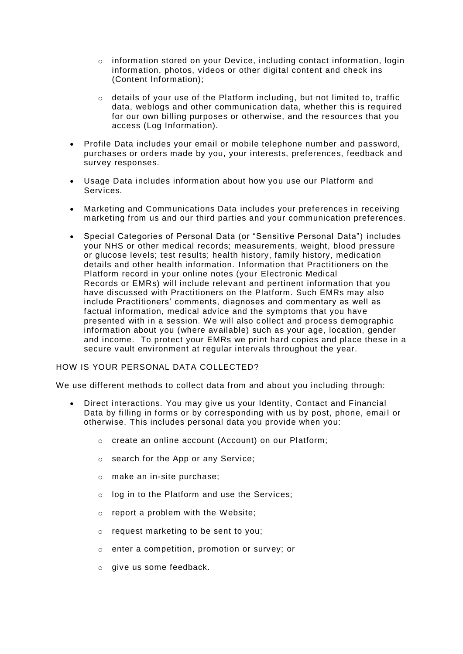- $\circ$  information stored on your Device, including contact information, login information, photos, videos or other digital content and check ins (Content Information);
- o details of your use of the Platform including, but not limited to, traffic data, weblogs and other communication data, whether this is required for our own billing purposes or otherwise, and the resources that you access (Log Information).
- Profile Data includes your email or mobile telephone number and password, purchases or orders made by you, your interests, preferences, feedback and survey responses.
- Usage Data includes information about how you use our Platform and Services.
- Marketing and Communications Data includes your preferences in receiving marketing from us and our third parties and your communication preferences.
- Special Categories of Personal Data (or "Sensitive Personal Data") includes your NHS or other medical records; measurements, weight, blood pressure or glucose levels; test results; health history, family history, medication details and other health information. Information that Practitioners on the Platform record in your online notes (your Electronic Medical Records or EMRs) will include relevant and pertinent information that you have discussed with Practitioners on the Platform. Such EMRs may also include Practitioners' comments, diagnoses and commentary as well as factual information, medical advice and the symptoms that you have presented with in a session. We will also collect and process demographic information about you (where available) such as your age, location, gender and income. To protect your EMRs we print hard copies and place these in a secure vault environment at regular intervals throughout the year.

## HOW IS YOUR PERSONAL DATA COLLECTED?

We use different methods to collect data from and about you including through:

- Direct interactions. You may give us your Identity, Contact and Financial Data by filling in forms or by corresponding with us by post, phone, email or otherwise. This includes personal data you provide when you:
	- o create an online account (Account) on our Platform;
	- o search for the App or any Service;
	- o make an in-site purchase;
	- o log in to the Platform and use the Services;
	- o report a problem with the Website;
	- o request marketing to be sent to you;
	- o enter a competition, promotion or survey; or
	- o give us some feedback.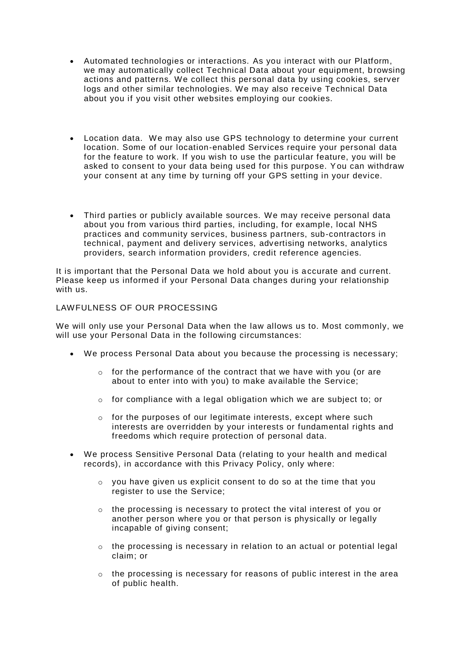- Automated technologies or interactions. As you interact with our Platform, we may automatically collect Technical Data about your equipment, browsing actions and patterns. We collect this personal data by using cookies, server logs and other similar technologies. We may also receive Technical Data about you if you visit other websites employing our cookies.
- Location data. We may also use GPS technology to determine your current location. Some of our location-enabled Services require your personal data for the feature to work. If you wish to use the particular feature, you will be asked to consent to your data being used for this purpose. You can withdraw your consent at any time by turning off your GPS setting in your device.
- Third parties or publicly available sources. We may receive personal data about you from various third parties, including, for example, local NHS practices and community services, business partners, sub-contractors in technical, payment and delivery services, advertising networks, analytics providers, search information providers, credit reference agencies.

It is important that the Personal Data we hold about you is accurate and current. Please keep us informed if your Personal Data changes during your relationship with us.

## LAWFULNESS OF OUR PROCESSING

We will only use your Personal Data when the law allows us to. Most commonly, we will use your Personal Data in the following circumstances:

- We process Personal Data about you because the processing is necessary;
	- $\circ$  for the performance of the contract that we have with you (or are about to enter into with you) to make available the Service;
	- $\circ$  for compliance with a legal obligation which we are subject to; or
	- o for the purposes of our legitimate interests, except where such interests are overridden by your interests or fundamental rights and freedoms which require protection of personal data.
- We process Sensitive Personal Data (relating to your health and medical records), in accordance with this Privacy Policy, only where:
	- $\circ$  vou have given us explicit consent to do so at the time that you register to use the Service;
	- $\circ$  the processing is necessary to protect the vital interest of you or another person where you or that person is physically or legally incapable of giving consent;
	- $\circ$  the processing is necessary in relation to an actual or potential legal claim; or
	- $\circ$  the processing is necessary for reasons of public interest in the area of public health.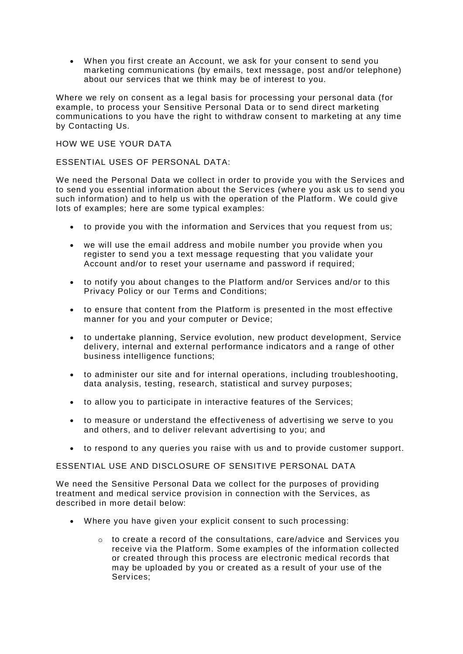• When you first create an Account, we ask for your consent to send you marketing communications (by emails, text message, post and/or telephone) about our services that we think may be of interest to you.

Where we rely on consent as a legal basis for processing your personal data (for example, to process your Sensitive Personal Data or to send direct marketing communications to you have the right to withdraw consent to marketing at any time by Contacting Us.

## HOW WE USE YOUR DATA

## ESSENTIAL USES OF PERSONAL DATA:

We need the Personal Data we collect in order to provide you with the Services and to send you essential information about the Services (where you ask us to send you such information) and to help us with the operation of the Platform . We could give lots of examples; here are some typical examples:

- to provide you with the information and Services that you request from us;
- we will use the email address and mobile number you provide when you register to send you a text message requesting that you validate your Account and/or to reset your username and password if required;
- to notify you about changes to the Platform and/or Services and/or to this Privacy Policy or our Terms and Conditions;
- to ensure that content from the Platform is presented in the most effective manner for you and your computer or Device;
- to undertake planning, Service evolution, new product development, Service delivery, internal and external performance indicators and a range of other business intelligence functions;
- to administer our site and for internal operations, including troubleshooting, data analysis, testing, research, statistical and survey purposes;
- to allow you to participate in interactive features of the Services;
- to measure or understand the effectiveness of advertising we serve to you and others, and to deliver relevant advertising to you; and
- to respond to any queries you raise with us and to provide customer support.

# ESSENTIAL USE AND DISCLOSURE OF SENSITIVE PERSONAL DATA

We need the Sensitive Personal Data we collect for the purposes of providing treatment and medical service provision in connection with the Services, as described in more detail below:

- Where you have given your explicit consent to such processing:
	- o to create a record of the consultations, care/advice and Services you receive via the Platform. Some examples of the information collected or created through this process are electronic medical records that may be uploaded by you or created as a result of your use of the Services;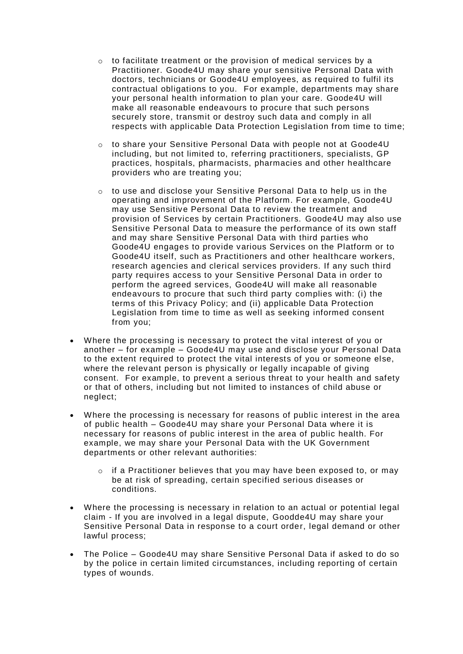- $\circ$  to facilitate treatment or the provision of medical services by a Practitioner. Goode4U may share your sensitive Personal Data with doctors, technicians or Goode4U employees, as required to fulfil its contractual obligations to you. For example, departments may share your personal health information to plan your care. Goode4U will make all reasonable endeavours to procure that such persons securely store, transmit or destroy such data and comply in all respects with applicable Data Protection Legislation from time to time;
- o to share your Sensitive Personal Data with people not at Goode4U including, but not limited to, referring practitioners, specialists, GP practices, hospitals, pharmacists, pharmacies and other healthcare providers who are treating you;
- o to use and disclose your Sensitive Personal Data to help us in the operating and improvement of the Platform. For example, Goode4U may use Sensitive Personal Data to review the treatment and provision of Services by certain Practitioners. Goode4U may also use Sensitive Personal Data to measure the performance of its own staff and may share Sensitive Personal Data with third parties who Goode4U engages to provide various Services on the Platform or to Goode4U itself, such as Practitioners and other healthcare workers, research agencies and clerical services providers. If any such third party requires access to your Sensitive Personal Data in order to perform the agreed services, Goode4U will make all reasonable endeavours to procure that such third party complies with: (i) the terms of this Privacy Policy; and (ii) applicable Data Protection Legislation from time to time as well as seeking informed consent from you;
- Where the processing is necessary to protect the vital interest of you or another – for example – Goode4U may use and disclose your Personal Data to the extent required to protect the vital interests of you or someone else, where the relevant person is physically or legally incapable of giving consent. For example, to prevent a serious threat to your health and safety or that of others, including but not limited to instances of child abuse or neglect;
- Where the processing is necessary for reasons of public interest in the area of public health – Goode4U may share your Personal Data where it is necessary for reasons of public interest in the area of public health. For example, we may share your Personal Data with the UK Government departments or other relevant authorities:
	- $\circ$  if a Practitioner believes that you may have been exposed to, or may be at risk of spreading, certain specified serious diseases or conditions.
- Where the processing is necessary in relation to an actual or potential legal claim - If you are involved in a legal dispute, Goodde4U may share your Sensitive Personal Data in response to a court order, legal demand or other lawful process;
- The Police Goode4U may share Sensitive Personal Data if asked to do so by the police in certain limited circumstances, including reporting of certain types of wounds.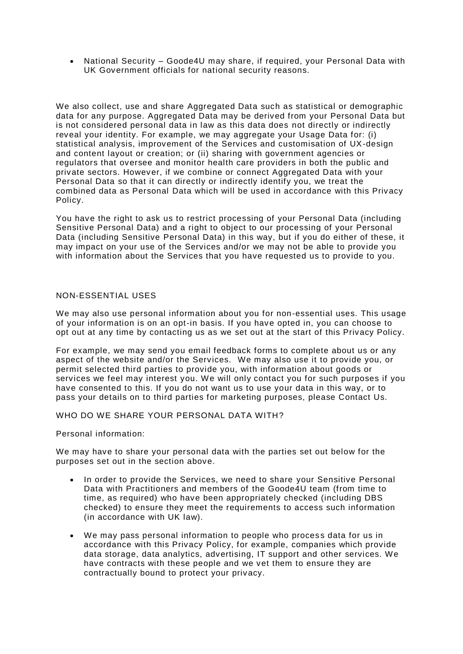• National Security – Goode4U may share, if required, your Personal Data with UK Government officials for national security reasons.

We also collect, use and share Aggregated Data such as statistical or demographic data for any purpose. Aggregated Data may be derived from your Personal Data but is not considered personal data in law as this data does not directly or indirectly reveal your identity. For example, we may aggregate your Usage Data for: (i) statistical analysis, improvement of the Services and customisation of UX-design and content layout or creation; or (ii) sharing with government agencies or regulators that oversee and monitor health care providers in both the public and private sectors. However, if we combine or connect Aggregated Data with your Personal Data so that it can directly or indirectly identify you, we treat the combined data as Personal Data which will be used in accordance with this Privacy Policy.

You have the right to ask us to restrict processing of your Personal Data (including Sensitive Personal Data) and a right to object to our processing of your Personal Data (including Sensitive Personal Data) in this way, but if you do either of these, it may impact on your use of the Services and/or we may not be able to provide you with information about the Services that you have requested us to provide to you.

## NON-ESSENTIAL USES

We may also use personal information about you for non-essential uses. This usage of your information is on an opt-in basis. If you have opted in, you can choose to opt out at any time by contacting us as we set out at the start of this Privacy Policy.

For example, we may send you email feedback forms to complete about us or any aspect of the website and/or the Services. We may also use it to provide you, or permit selected third parties to provide you, with information about goods or services we feel may interest you. We will only contact you for such purposes if you have consented to this. If you do not want us to use your data in this way, or to pass your details on to third parties for marketing purposes, please Contact Us.

WHO DO WE SHARE YOUR PERSONAL DATA WITH?

Personal information:

We may have to share your personal data with the parties set out below for the purposes set out in the section above.

- In order to provide the Services, we need to share your Sensitive Personal Data with Practitioners and members of the Goode4U team (from time to time, as required) who have been appropriately checked (including DBS checked) to ensure they meet the requirements to access such information (in accordance with UK law).
- We may pass personal information to people who process data for us in accordance with this Privacy Policy, for example, companies which provide data storage, data analytics, advertising, IT support and other services. We have contracts with these people and we vet them to ensure they are contractually bound to protect your privacy.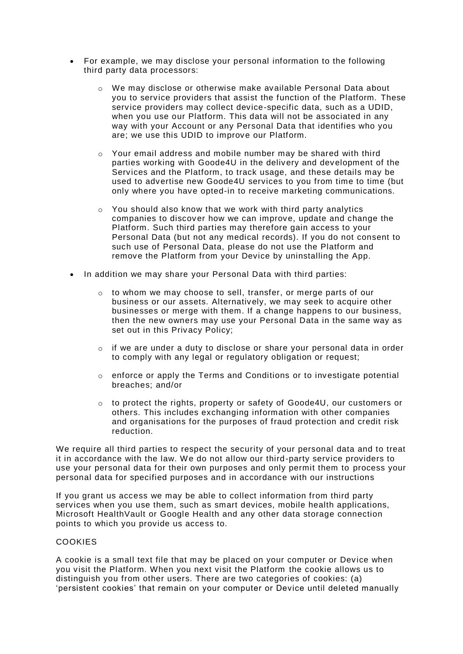- For example, we may disclose your personal information to the following third party data processors:
	- $\circ$  We may disclose or otherwise make available Personal Data about you to service providers that assist the function of the Platform. These service providers may collect device-specific data, such as a UDID, when you use our Platform. This data will not be associated in any way with your Account or any Personal Data that identifies who you are; we use this UDID to improve our Platform.
	- $\circ$  Your email address and mobile number may be shared with third parties working with Goode4U in the delivery and development of the Services and the Platform, to track usage, and these details may be used to advertise new Goode4U services to you from time to time (but only where you have opted-in to receive marketing communications.
	- $\circ$  You should also know that we work with third party analytics companies to discover how we can improve, update and change the Platform. Such third parties may therefore gain access to your Personal Data (but not any medical records). If you do not consent to such use of Personal Data, please do not use the Platform and remove the Platform from your Device by uninstalling the App.
- In addition we may share your Personal Data with third parties:
	- o to whom we may choose to sell, transfer, or merge parts of our business or our assets. Alternatively, we may seek to acquire other businesses or merge with them. If a change happens to our business, then the new owners may use your Personal Data in the same way as set out in this Privacy Policy;
	- o if we are under a duty to disclose or share your personal data in order to comply with any legal or regulatory obligation or request;
	- $\circ$  enforce or apply the Terms and Conditions or to investigate potential breaches; and/or
	- $\circ$  to protect the rights, property or safety of Goode4U, our customers or others. This includes exchanging information with other companies and organisations for the purposes of fraud protection and credit risk reduction.

We require all third parties to respect the security of your personal data and to treat it in accordance with the law. We do not allow our third-party service providers to use your personal data for their own purposes and only permit them to process your personal data for specified purposes and in accordance with our instructions

If you grant us access we may be able to collect information from third party services when you use them, such as smart devices, mobile health applications, Microsoft HealthVault or Google Health and any other data storage connection points to which you provide us access to.

# **COOKIES**

A cookie is a small text file that may be placed on your computer or Device when you visit the Platform. When you next visit the Platform the cookie allows us to distinguish you from other users. There are two categories of cookies: (a) 'persistent cookies' that remain on your computer or Device until deleted manually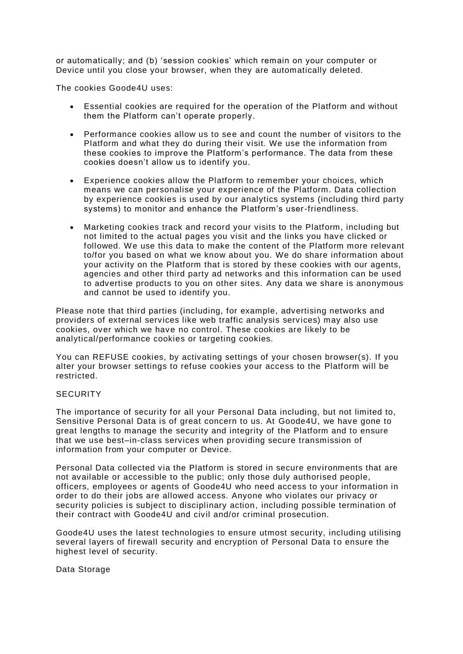or automatically; and (b) 'session cookies' which remain on your computer or Device until you close your browser, when they are automatically deleted.

The cookies Goode4U uses:

- Essential cookies are required for the operation of the Platform and without them the Platform can't operate properly.
- Performance cookies allow us to see and count the number of visitors to the Platform and what they do during their visit. We use the information from these cookies to improve the Platform's performance. The data from these cookies doesn't allow us to identify you.
- Experience cookies allow the Platform to remember your choices, which means we can personalise your experience of the Platform. Data collection by experience cookies is used by our analytics systems (including third party systems) to monitor and enhance the Platform's user-friendliness.
- Marketing cookies track and record your visits to the Platform, including but not limited to the actual pages you visit and the links you have clicked or followed. We use this data to make the content of the Platform more relevant to/for you based on what we know about you. We do share information about your activity on the Platform that is stored by these cookies with our agents, agencies and other third party ad networks and this information can be used to advertise products to you on other sites. Any data we share is anonymous and cannot be used to identify you.

Please note that third parties (including, for example, advertising networks and providers of external services like web traffic analysis services) may also use cookies, over which we have no control. These cookies are likely to be analytical/performance cookies or targeting cookies.

You can REFUSE cookies, by activating settings of your chosen browser(s). If you alter your browser settings to refuse cookies your access to the Platform will be restricted.

## **SECURITY**

The importance of security for all your Personal Data including, but not limited to, Sensitive Personal Data is of great concern to us. At Goode4U, we have gone to great lengths to manage the security and integrity of the Platform and to ensure that we use best–in-class services when providing secure transmission of information from your computer or Device.

Personal Data collected via the Platform is stored in secure environments that are not available or accessible to the public; only those duly authorised people, officers, employees or agents of Goode4U who need access to your information in order to do their jobs are allowed access. Anyone who violates our privacy or security policies is subject to disciplinary action, including possible termination of their contract with Goode4U and civil and/or criminal prosecution.

Goode4U uses the latest technologies to ensure utmost security, including utilising several layers of firewall security and encryption of Personal Data to ensure the highest level of security.

Data Storage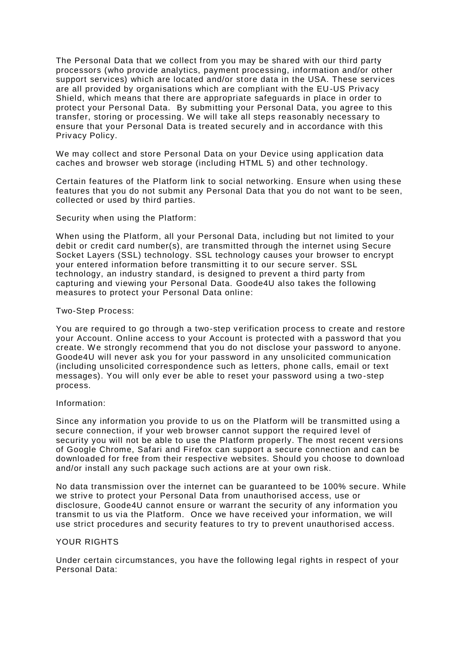The Personal Data that we collect from you may be shared with our third party processors (who provide analytics, payment processing, information and/or other support services) which are located and/or store data in the USA. These services are all provided by organisations which are compliant with the EU-US Privacy Shield, which means that there are appropriate safeguards in place in order to protect your Personal Data. By submitting your Personal Data, you agree to this transfer, storing or processing. We will take all steps reasonably necessary to ensure that your Personal Data is treated securely and in accordance with this Privacy Policy.

We may collect and store Personal Data on your Device using application data caches and browser web storage (including HTML 5) and other technology.

Certain features of the Platform link to social networking. Ensure when using these features that you do not submit any Personal Data that you do not want to be seen, collected or used by third parties.

Security when using the Platform:

When using the Platform, all your Personal Data, including but not limited to your debit or credit card number(s), are transmitted through the internet using Secure Socket Layers (SSL) technology. SSL technology causes your browser to encrypt your entered information before transmitting it to our secure server. SSL technology, an industry standard, is designed to prevent a third party from capturing and viewing your Personal Data. Goode4U also takes the following measures to protect your Personal Data online:

#### Two-Step Process:

You are required to go through a two-step verification process to create and restore your Account. Online access to your Account is protected with a password that you create. We strongly recommend that you do not disclose your password to anyone. Goode4U will never ask you for your password in any unsolicited communication (including unsolicited correspondence such as letters, phone calls, email or text messages). You will only ever be able to reset your password using a two -step process.

#### Information:

Since any information you provide to us on the Platform will be transmitted using a secure connection, if your web browser cannot support the required level of security you will not be able to use the Platform properly. The most recent versions of Google Chrome, Safari and Firefox can support a secure connection and can be downloaded for free from their respective websites. Should you choose to download and/or install any such package such actions are at your own risk.

No data transmission over the internet can be guaranteed to be 100% secure. While we strive to protect your Personal Data from unauthorised access, use or disclosure, Goode4U cannot ensure or warrant the security of any information you transmit to us via the Platform. Once we have received your information, we will use strict procedures and security features to try to prevent unauthorised access.

## YOUR RIGHTS

Under certain circumstances, you have the following legal rights in respect of your Personal Data: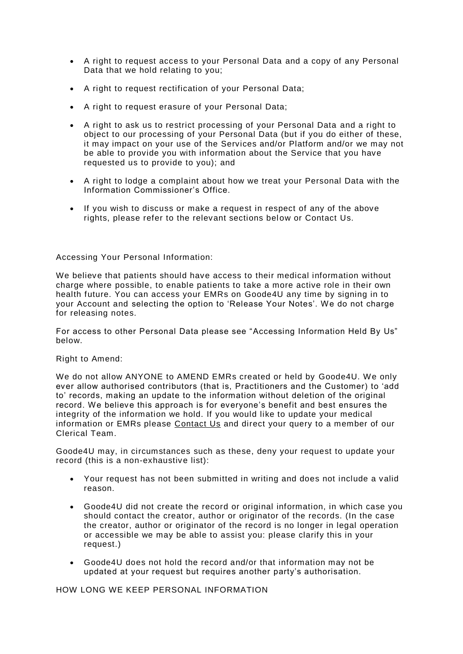- A right to request access to your Personal Data and a copy of any Personal Data that we hold relating to you;
- A right to request rectification of your Personal Data;
- A right to request erasure of your Personal Data;
- A right to ask us to restrict processing of your Personal Data and a right to object to our processing of your Personal Data (but if you do either of these, it may impact on your use of the Services and/or Platform and/or we may not be able to provide you with information about the Service that you have requested us to provide to you); and
- A right to lodge a complaint about how we treat your Personal Data with the Information Commissioner's Office.
- If you wish to discuss or make a request in respect of any of the above rights, please refer to the relevant sections below or Contact Us.

## Accessing Your Personal Information:

We believe that patients should have access to their medical information without charge where possible, to enable patients to take a more active role in their own health future. You can access your EMRs on Goode4U any time by signing in to your Account and selecting the option to 'Release Your Notes'. We do not charge for releasing notes.

For access to other Personal Data please see "Accessing Information Held By Us" below.

## Right to Amend:

We do not allow ANYONE to AMEND EMRs created or held by Goode4U. We only ever allow authorised contributors (that is, Practitioners and the Customer) to 'add to' records, making an update to the information without deletion of the original record. We believe this approach is for everyone's benefit and best ensures the integrity of the information we hold. If you would like to update your medical information or EMRs please [Contact Us](https://www.pushdoctor.co.uk/contact) and direct your query to a member of our Clerical Team.

Goode4U may, in circumstances such as these, deny your request to update your record (this is a non-exhaustive list):

- Your request has not been submitted in writing and does not include a valid reason.
- Goode4U did not create the record or original information, in which case you should contact the creator, author or originator of the records. (In the case the creator, author or originator of the record is no longer in legal operation or accessible we may be able to assist you: please clarify this in your request.)
- Goode4U does not hold the record and/or that information may not be updated at your request but requires another party's authorisation.

HOW LONG WE KEEP PERSONAL INFORMATION